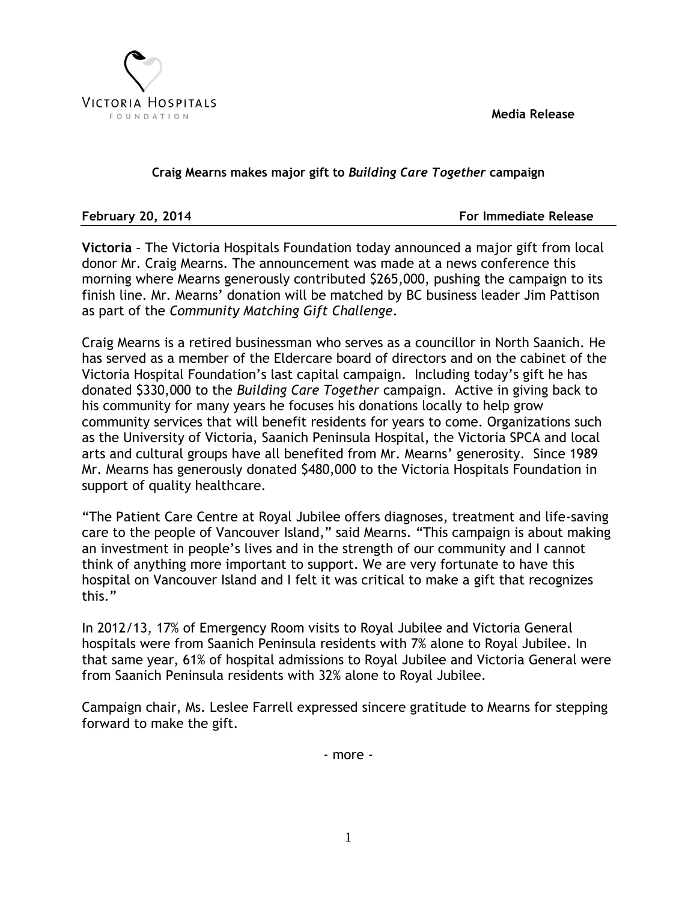**Media Release**



## **Craig Mearns makes major gift to** *Building Care Together* **campaign**

**February 20, 2014 For Immediate Release**

**Victoria** – The Victoria Hospitals Foundation today announced a major gift from local donor Mr. Craig Mearns. The announcement was made at a news conference this morning where Mearns generously contributed \$265,000, pushing the campaign to its finish line. Mr. Mearns' donation will be matched by BC business leader Jim Pattison as part of the *Community Matching Gift Challenge*.

Craig Mearns is a retired businessman who serves as a councillor in North Saanich. He has served as a member of the Eldercare board of directors and on the cabinet of the Victoria Hospital Foundation's last capital campaign. Including today's gift he has donated \$330,000 to the *Building Care Together* campaign. Active in giving back to his community for many years he focuses his donations locally to help grow community services that will benefit residents for years to come. Organizations such as the University of Victoria, Saanich Peninsula Hospital, the Victoria SPCA and local arts and cultural groups have all benefited from Mr. Mearns' generosity. Since 1989 Mr. Mearns has generously donated \$480,000 to the Victoria Hospitals Foundation in support of quality healthcare.

"The Patient Care Centre at Royal Jubilee offers diagnoses, treatment and life-saving care to the people of Vancouver Island," said Mearns. "This campaign is about making an investment in people's lives and in the strength of our community and I cannot think of anything more important to support. We are very fortunate to have this hospital on Vancouver Island and I felt it was critical to make a gift that recognizes this."

In 2012/13, 17% of Emergency Room visits to Royal Jubilee and Victoria General hospitals were from Saanich Peninsula residents with 7% alone to Royal Jubilee. In that same year, 61% of hospital admissions to Royal Jubilee and Victoria General were from Saanich Peninsula residents with 32% alone to Royal Jubilee.

Campaign chair, Ms. Leslee Farrell expressed sincere gratitude to Mearns for stepping forward to make the gift.

- more -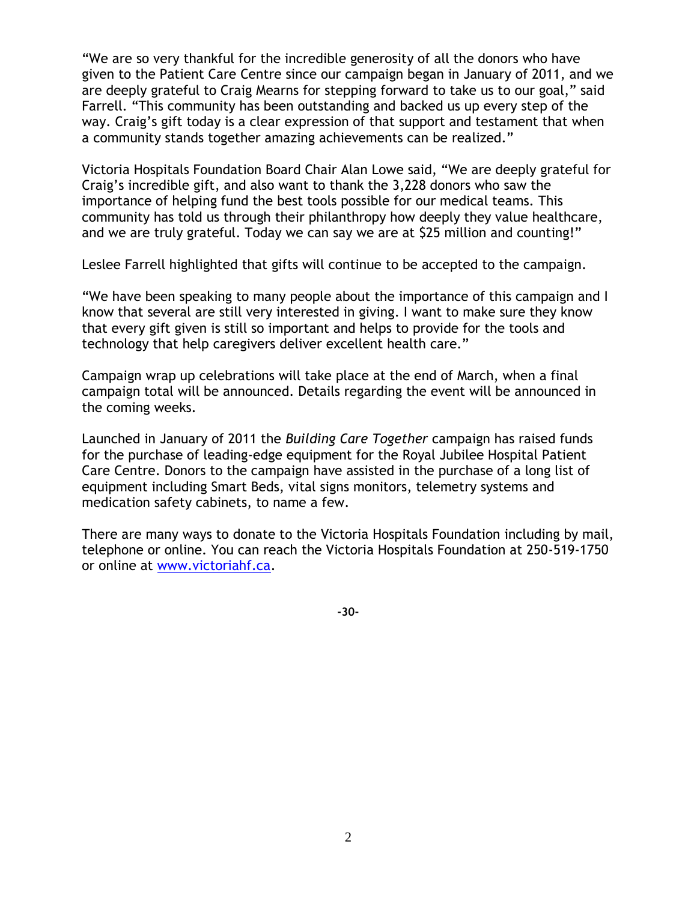"We are so very thankful for the incredible generosity of all the donors who have given to the Patient Care Centre since our campaign began in January of 2011, and we are deeply grateful to Craig Mearns for stepping forward to take us to our goal," said Farrell. "This community has been outstanding and backed us up every step of the way. Craig's gift today is a clear expression of that support and testament that when a community stands together amazing achievements can be realized."

Victoria Hospitals Foundation Board Chair Alan Lowe said, "We are deeply grateful for Craig's incredible gift, and also want to thank the 3,228 donors who saw the importance of helping fund the best tools possible for our medical teams. This community has told us through their philanthropy how deeply they value healthcare, and we are truly grateful. Today we can say we are at \$25 million and counting!"

Leslee Farrell highlighted that gifts will continue to be accepted to the campaign.

"We have been speaking to many people about the importance of this campaign and I know that several are still very interested in giving. I want to make sure they know that every gift given is still so important and helps to provide for the tools and technology that help caregivers deliver excellent health care."

Campaign wrap up celebrations will take place at the end of March, when a final campaign total will be announced. Details regarding the event will be announced in the coming weeks.

Launched in January of 2011 the *Building Care Together* campaign has raised funds for the purchase of leading-edge equipment for the Royal Jubilee Hospital Patient Care Centre. Donors to the campaign have assisted in the purchase of a long list of equipment including Smart Beds, vital signs monitors, telemetry systems and medication safety cabinets, to name a few.

There are many ways to donate to the Victoria Hospitals Foundation including by mail, telephone or online. You can reach the Victoria Hospitals Foundation at 250-519-1750 or online at [www.victoriahf.ca.](http://www.victoriahf.ca/)

**-30-**